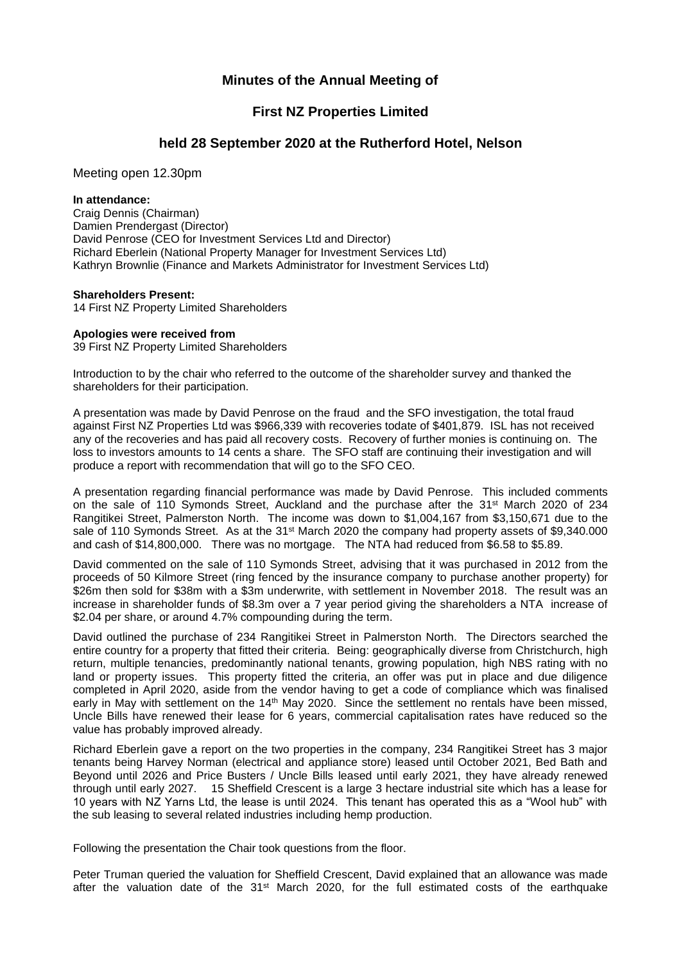# **Minutes of the Annual Meeting of**

## **First NZ Properties Limited**

## **held 28 September 2020 at the Rutherford Hotel, Nelson**

Meeting open 12.30pm

#### **In attendance:**

Craig Dennis (Chairman) Damien Prendergast (Director) David Penrose (CEO for Investment Services Ltd and Director) Richard Eberlein (National Property Manager for Investment Services Ltd) Kathryn Brownlie (Finance and Markets Administrator for Investment Services Ltd)

### **Shareholders Present:**

14 First NZ Property Limited Shareholders

### **Apologies were received from**

39 First NZ Property Limited Shareholders

Introduction to by the chair who referred to the outcome of the shareholder survey and thanked the shareholders for their participation.

A presentation was made by David Penrose on the fraud and the SFO investigation, the total fraud against First NZ Properties Ltd was \$966,339 with recoveries todate of \$401,879. ISL has not received any of the recoveries and has paid all recovery costs. Recovery of further monies is continuing on. The loss to investors amounts to 14 cents a share. The SFO staff are continuing their investigation and will produce a report with recommendation that will go to the SFO CEO.

A presentation regarding financial performance was made by David Penrose. This included comments on the sale of 110 Symonds Street, Auckland and the purchase after the 31<sup>st</sup> March 2020 of 234 Rangitikei Street, Palmerston North. The income was down to \$1,004,167 from \$3,150,671 due to the sale of 110 Symonds Street. As at the 31<sup>st</sup> March 2020 the company had property assets of \$9,340.000 and cash of \$14,800,000. There was no mortgage. The NTA had reduced from \$6.58 to \$5.89.

David commented on the sale of 110 Symonds Street, advising that it was purchased in 2012 from the proceeds of 50 Kilmore Street (ring fenced by the insurance company to purchase another property) for \$26m then sold for \$38m with a \$3m underwrite, with settlement in November 2018. The result was an increase in shareholder funds of \$8.3m over a 7 year period giving the shareholders a NTA increase of \$2.04 per share, or around 4.7% compounding during the term.

David outlined the purchase of 234 Rangitikei Street in Palmerston North. The Directors searched the entire country for a property that fitted their criteria. Being: geographically diverse from Christchurch, high return, multiple tenancies, predominantly national tenants, growing population, high NBS rating with no land or property issues. This property fitted the criteria, an offer was put in place and due diligence completed in April 2020, aside from the vendor having to get a code of compliance which was finalised early in May with settlement on the 14<sup>th</sup> May 2020. Since the settlement no rentals have been missed. Uncle Bills have renewed their lease for 6 years, commercial capitalisation rates have reduced so the value has probably improved already.

Richard Eberlein gave a report on the two properties in the company, 234 Rangitikei Street has 3 major tenants being Harvey Norman (electrical and appliance store) leased until October 2021, Bed Bath and Beyond until 2026 and Price Busters / Uncle Bills leased until early 2021, they have already renewed through until early 2027. 15 Sheffield Crescent is a large 3 hectare industrial site which has a lease for 10 years with NZ Yarns Ltd, the lease is until 2024. This tenant has operated this as a "Wool hub" with the sub leasing to several related industries including hemp production.

Following the presentation the Chair took questions from the floor.

Peter Truman queried the valuation for Sheffield Crescent, David explained that an allowance was made after the valuation date of the 31<sup>st</sup> March 2020, for the full estimated costs of the earthquake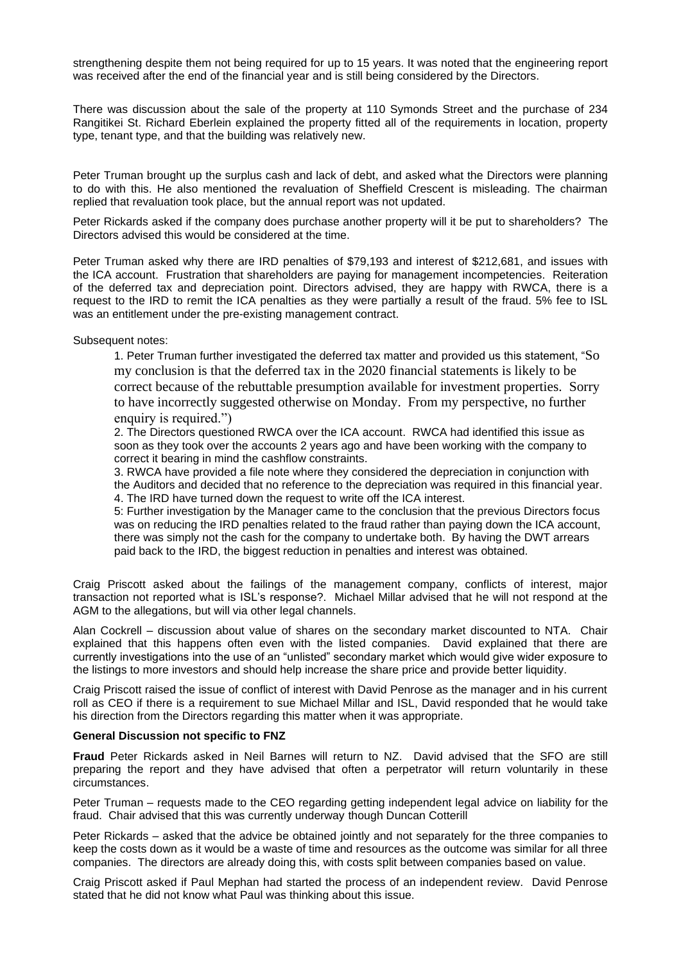strengthening despite them not being required for up to 15 years. It was noted that the engineering report was received after the end of the financial year and is still being considered by the Directors.

There was discussion about the sale of the property at 110 Symonds Street and the purchase of 234 Rangitikei St. Richard Eberlein explained the property fitted all of the requirements in location, property type, tenant type, and that the building was relatively new.

Peter Truman brought up the surplus cash and lack of debt, and asked what the Directors were planning to do with this. He also mentioned the revaluation of Sheffield Crescent is misleading. The chairman replied that revaluation took place, but the annual report was not updated.

Peter Rickards asked if the company does purchase another property will it be put to shareholders? The Directors advised this would be considered at the time.

Peter Truman asked why there are IRD penalties of \$79,193 and interest of \$212,681, and issues with the ICA account. Frustration that shareholders are paying for management incompetencies. Reiteration of the deferred tax and depreciation point. Directors advised, they are happy with RWCA, there is a request to the IRD to remit the ICA penalties as they were partially a result of the fraud. 5% fee to ISL was an entitlement under the pre-existing management contract.

Subsequent notes:

1. Peter Truman further investigated the deferred tax matter and provided us this statement, "So my conclusion is that the deferred tax in the 2020 financial statements is likely to be correct because of the rebuttable presumption available for investment properties. Sorry to have incorrectly suggested otherwise on Monday. From my perspective, no further enquiry is required.")

2. The Directors questioned RWCA over the ICA account. RWCA had identified this issue as soon as they took over the accounts 2 years ago and have been working with the company to correct it bearing in mind the cashflow constraints.

3. RWCA have provided a file note where they considered the depreciation in conjunction with the Auditors and decided that no reference to the depreciation was required in this financial year. 4. The IRD have turned down the request to write off the ICA interest.

5: Further investigation by the Manager came to the conclusion that the previous Directors focus was on reducing the IRD penalties related to the fraud rather than paying down the ICA account, there was simply not the cash for the company to undertake both. By having the DWT arrears paid back to the IRD, the biggest reduction in penalties and interest was obtained.

Craig Priscott asked about the failings of the management company, conflicts of interest, major transaction not reported what is ISL's response?. Michael Millar advised that he will not respond at the AGM to the allegations, but will via other legal channels.

Alan Cockrell – discussion about value of shares on the secondary market discounted to NTA. Chair explained that this happens often even with the listed companies. David explained that there are currently investigations into the use of an "unlisted" secondary market which would give wider exposure to the listings to more investors and should help increase the share price and provide better liquidity.

Craig Priscott raised the issue of conflict of interest with David Penrose as the manager and in his current roll as CEO if there is a requirement to sue Michael Millar and ISL, David responded that he would take his direction from the Directors regarding this matter when it was appropriate.

#### **General Discussion not specific to FNZ**

**Fraud** Peter Rickards asked in Neil Barnes will return to NZ. David advised that the SFO are still preparing the report and they have advised that often a perpetrator will return voluntarily in these circumstances.

Peter Truman – requests made to the CEO regarding getting independent legal advice on liability for the fraud. Chair advised that this was currently underway though Duncan Cotterill

Peter Rickards – asked that the advice be obtained jointly and not separately for the three companies to keep the costs down as it would be a waste of time and resources as the outcome was similar for all three companies. The directors are already doing this, with costs split between companies based on value.

Craig Priscott asked if Paul Mephan had started the process of an independent review. David Penrose stated that he did not know what Paul was thinking about this issue.